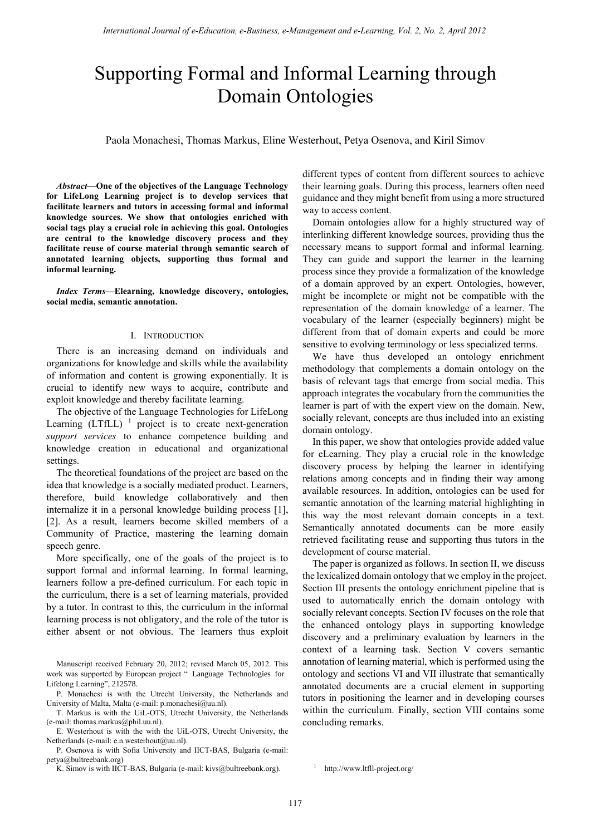# Supporting Formal and Informal Learning through Domain Ontologies

Paola Monachesi, Thomas Markus, Eline Westerhout, Petya Osenova, and Kiril Simov

*Abstract***—One of the objectives of the Language Technology for LifeLong Learning project is to develop services that facilitate learners and tutors in accessing formal and informal knowledge sources. We show that ontologies enriched with social tags play a crucial role in achieving this goal. Ontologies are central to the knowledge discovery process and they facilitate reuse of course material through semantic search of annotated learning objects, supporting thus formal and informal learning.** 

*Index Terms***—Elearning, knowledge discovery, ontologies, social media, semantic annotation.** 

## I. INTRODUCTION

There is an increasing demand on individuals and organizations for knowledge and skills while the availability of information and content is growing exponentially. It is crucial to identify new ways to acquire, contribute and exploit knowledge and thereby facilitate learning.

The objective of the Language Technologies for LifeLong Learning  $(LTfLL)^{-1}$  project is to create next-generation *support services* to enhance competence building and knowledge creation in educational and organizational settings.

The theoretical foundations of the project are based on the idea that knowledge is a socially mediated product. Learners, therefore, build knowledge collaboratively and then internalize it in a personal knowledge building process [1], [2]. As a result, learners become skilled members of a Community of Practice, mastering the learning domain speech genre.

More specifically, one of the goals of the project is to support formal and informal learning. In formal learning, learners follow a pre-defined curriculum. For each topic in the curriculum, there is a set of learning materials, provided by a tutor. In contrast to this, the curriculum in the informal learning process is not obligatory, and the role of the tutor is either absent or not obvious. The learners thus exploit

Manuscript received February 20, 2012; revised March 05, 2012. This work was supported by European project " Language Technologies for Lifelong Learning", 212578.

P. Monachesi is with the Utrecht University, the Netherlands and University of Malta, Malta (e-mail: p.monachesi@uu.nl).

T. Markus is with the UiL-OTS, Utrecht University, the Netherlands (e-mail: thomas.markus@phil.uu.nl).

E. Westerhout is with the with the UiL-OTS, Utrecht University, the Netherlands (e-mail: e.n.westerhout@uu.nl).

P. Osenova is with Sofia University and IICT-BAS, Bulgaria (e-mail: petya@bultreebank.org)

K. Simov is with IICT-BAS, Bulgaria (e-mail: kivs@bultreebank.org).

different types of content from different sources to achieve their learning goals. During this process, learners often need guidance and they might benefit from using a more structured way to access content.

Domain ontologies allow for a highly structured way of interlinking different knowledge sources, providing thus the necessary means to support formal and informal learning. They can guide and support the learner in the learning process since they provide a formalization of the knowledge of a domain approved by an expert. Ontologies, however, might be incomplete or might not be compatible with the representation of the domain knowledge of a learner. The vocabulary of the learner (especially beginners) might be different from that of domain experts and could be more sensitive to evolving terminology or less specialized terms.

We have thus developed an ontology enrichment methodology that complements a domain ontology on the basis of relevant tags that emerge from social media. This approach integrates the vocabulary from the communities the learner is part of with the expert view on the domain. New, socially relevant, concepts are thus included into an existing domain ontology.

In this paper, we show that ontologies provide added value for eLearning. They play a crucial role in the knowledge discovery process by helping the learner in identifying relations among concepts and in finding their way among available resources. In addition, ontologies can be used for semantic annotation of the learning material highlighting in this way the most relevant domain concepts in a text. Semantically annotated documents can be more easily retrieved facilitating reuse and supporting thus tutors in the development of course material.

The paper is organized as follows. In section II, we discuss the lexicalized domain ontology that we employ in the project. Section III presents the ontology enrichment pipeline that is used to automatically enrich the domain ontology with socially relevant concepts. Section IV focuses on the role that the enhanced ontology plays in supporting knowledge discovery and a preliminary evaluation by learners in the context of a learning task. Section V covers semantic annotation of learning material, which is performed using the ontology and sections VI and VII illustrate that semantically annotated documents are a crucial element in supporting tutors in positioning the learner and in developing courses within the curriculum. Finally, section VIII contains some concluding remarks.

1 http://www.ltfll-project.org/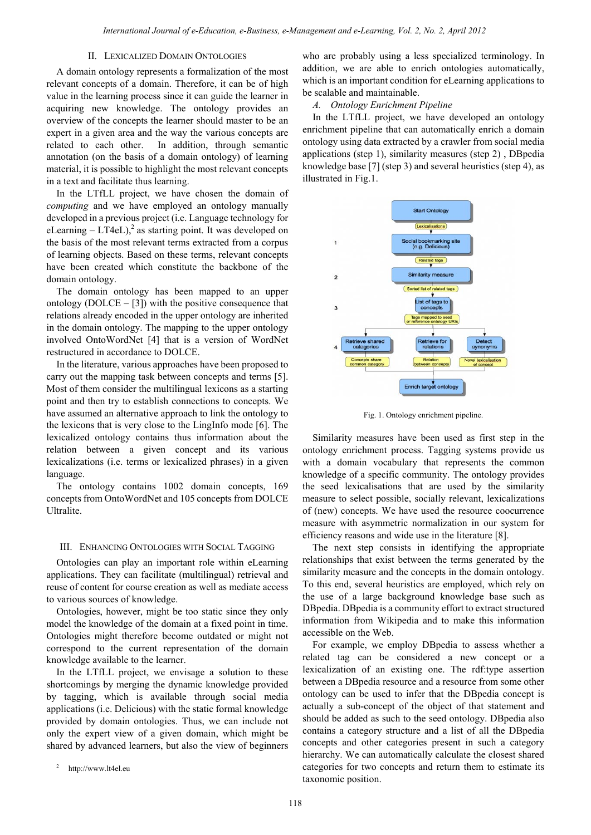## II. LEXICALIZED DOMAIN ONTOLOGIES

A domain ontology represents a formalization of the most relevant concepts of a domain. Therefore, it can be of high value in the learning process since it can guide the learner in acquiring new knowledge. The ontology provides an overview of the concepts the learner should master to be an expert in a given area and the way the various concepts are related to each other. In addition, through semantic annotation (on the basis of a domain ontology) of learning material, it is possible to highlight the most relevant concepts in a text and facilitate thus learning.

In the LTfLL project, we have chosen the domain of *computing* and we have employed an ontology manually developed in a previous project (i.e. Language technology for eLearning  $-LT4eL$ ,<sup>2</sup> as starting point. It was developed on the basis of the most relevant terms extracted from a corpus of learning objects. Based on these terms, relevant concepts have been created which constitute the backbone of the domain ontology.

The domain ontology has been mapped to an upper ontology ( $DOLCE - [3]$ ) with the positive consequence that relations already encoded in the upper ontology are inherited in the domain ontology. The mapping to the upper ontology involved OntoWordNet [4] that is a version of WordNet restructured in accordance to DOLCE.

In the literature, various approaches have been proposed to carry out the mapping task between concepts and terms [5]. Most of them consider the multilingual lexicons as a starting point and then try to establish connections to concepts. We have assumed an alternative approach to link the ontology to the lexicons that is very close to the LingInfo mode [6]. The lexicalized ontology contains thus information about the relation between a given concept and its various lexicalizations (i.e. terms or lexicalized phrases) in a given language.

The ontology contains 1002 domain concepts, 169 concepts from OntoWordNet and 105 concepts from DOLCE Ultralite.

### III. ENHANCING ONTOLOGIES WITH SOCIAL TAGGING

Ontologies can play an important role within eLearning applications. They can facilitate (multilingual) retrieval and reuse of content for course creation as well as mediate access to various sources of knowledge.

Ontologies, however, might be too static since they only model the knowledge of the domain at a fixed point in time. Ontologies might therefore become outdated or might not correspond to the current representation of the domain knowledge available to the learner.

In the LTfLL project, we envisage a solution to these shortcomings by merging the dynamic knowledge provided by tagging, which is available through social media applications (i.e. Delicious) with the static formal knowledge provided by domain ontologies. Thus, we can include not only the expert view of a given domain, which might be shared by advanced learners, but also the view of beginners

<sup>2</sup> http://www.lt4el.eu

who are probably using a less specialized terminology. In addition, we are able to enrich ontologies automatically, which is an important condition for eLearning applications to be scalable and maintainable.

## *A. Ontology Enrichment Pipeline*

In the LTfLL project, we have developed an ontology enrichment pipeline that can automatically enrich a domain ontology using data extracted by a crawler from social media applications (step 1), similarity measures (step 2) , DBpedia knowledge base [7] (step 3) and several heuristics (step 4), as illustrated in Fig.1.



Fig. 1. Ontology enrichment pipeline.

Similarity measures have been used as first step in the ontology enrichment process. Tagging systems provide us with a domain vocabulary that represents the common knowledge of a specific community. The ontology provides the seed lexicalisations that are used by the similarity measure to select possible, socially relevant, lexicalizations of (new) concepts. We have used the resource coocurrence measure with asymmetric normalization in our system for efficiency reasons and wide use in the literature [8].

The next step consists in identifying the appropriate relationships that exist between the terms generated by the similarity measure and the concepts in the domain ontology. To this end, several heuristics are employed, which rely on the use of a large background knowledge base such as DBpedia. DBpedia is a community effort to extract structured information from Wikipedia and to make this information accessible on the Web.

For example, we employ DBpedia to assess whether a related tag can be considered a new concept or a lexicalization of an existing one. The rdf:type assertion between a DBpedia resource and a resource from some other ontology can be used to infer that the DBpedia concept is actually a sub-concept of the object of that statement and should be added as such to the seed ontology. DBpedia also contains a category structure and a list of all the DBpedia concepts and other categories present in such a category hierarchy. We can automatically calculate the closest shared categories for two concepts and return them to estimate its taxonomic position.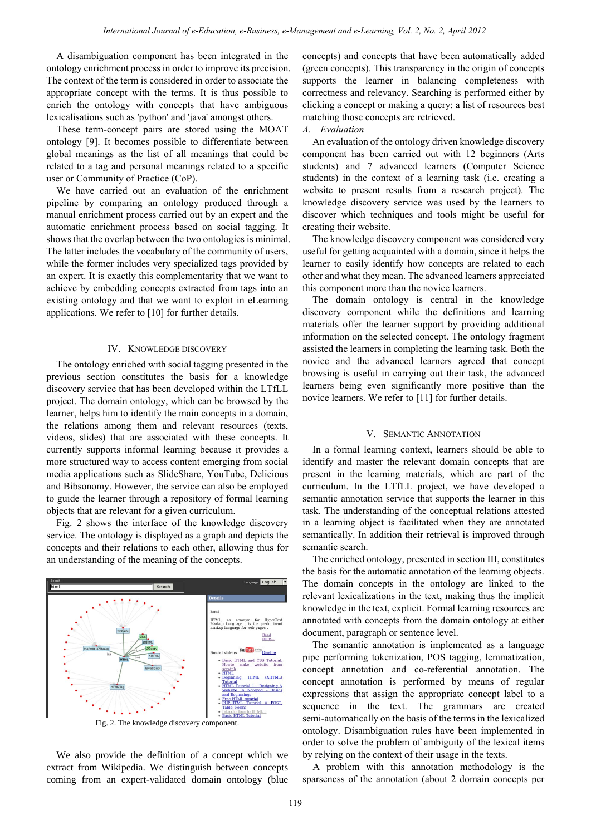A disambiguation component has been integrated in the ontology enrichment process in order to improve its precision. The context of the term is considered in order to associate the appropriate concept with the terms. It is thus possible to enrich the ontology with concepts that have ambiguous lexicalisations such as 'python' and 'java' amongst others.

These term-concept pairs are stored using the MOAT ontology [9]. It becomes possible to differentiate between global meanings as the list of all meanings that could be related to a tag and personal meanings related to a specific user or Community of Practice (CoP).

We have carried out an evaluation of the enrichment pipeline by comparing an ontology produced through a manual enrichment process carried out by an expert and the automatic enrichment process based on social tagging. It shows that the overlap between the two ontologies is minimal. The latter includes the vocabulary of the community of users, while the former includes very specialized tags provided by an expert. It is exactly this complementarity that we want to achieve by embedding concepts extracted from tags into an existing ontology and that we want to exploit in eLearning applications. We refer to [10] for further details.

# IV. KNOWLEDGE DISCOVERY

The ontology enriched with social tagging presented in the previous section constitutes the basis for a knowledge discovery service that has been developed within the LTfLL project. The domain ontology, which can be browsed by the learner, helps him to identify the main concepts in a domain, the relations among them and relevant resources (texts, videos, slides) that are associated with these concepts. It currently supports informal learning because it provides a more structured way to access content emerging from social media applications such as SlideShare, YouTube, Delicious and Bibsonomy. However, the service can also be employed to guide the learner through a repository of formal learning objects that are relevant for a given curriculum.

Fig. 2 shows the interface of the knowledge discovery service. The ontology is displayed as a graph and depicts the concepts and their relations to each other, allowing thus for an understanding of the meaning of the concepts.



Fig. 2. The knowledge discovery component.

We also provide the definition of a concept which we extract from Wikipedia. We distinguish between concepts coming from an expert-validated domain ontology (blue concepts) and concepts that have been automatically added (green concepts). This transparency in the origin of concepts supports the learner in balancing completeness with correctness and relevancy. Searching is performed either by clicking a concept or making a query: a list of resources best matching those concepts are retrieved.

# *A. Evaluation*

An evaluation of the ontology driven knowledge discovery component has been carried out with 12 beginners (Arts students) and 7 advanced learners (Computer Science students) in the context of a learning task (i.e. creating a website to present results from a research project). The knowledge discovery service was used by the learners to discover which techniques and tools might be useful for creating their website.

The knowledge discovery component was considered very useful for getting acquainted with a domain, since it helps the learner to easily identify how concepts are related to each other and what they mean. The advanced learners appreciated this component more than the novice learners.

The domain ontology is central in the knowledge discovery component while the definitions and learning materials offer the learner support by providing additional information on the selected concept. The ontology fragment assisted the learners in completing the learning task. Both the novice and the advanced learners agreed that concept browsing is useful in carrying out their task, the advanced learners being even significantly more positive than the novice learners. We refer to [11] for further details.

## V. SEMANTIC ANNOTATION

In a formal learning context, learners should be able to identify and master the relevant domain concepts that are present in the learning materials, which are part of the curriculum. In the LTfLL project, we have developed a semantic annotation service that supports the learner in this task. The understanding of the conceptual relations attested in a learning object is facilitated when they are annotated semantically. In addition their retrieval is improved through semantic search.

The enriched ontology, presented in section III, constitutes the basis for the automatic annotation of the learning objects. The domain concepts in the ontology are linked to the relevant lexicalizations in the text, making thus the implicit knowledge in the text, explicit. Formal learning resources are annotated with concepts from the domain ontology at either document, paragraph or sentence level.

The semantic annotation is implemented as a language pipe performing tokenization, POS tagging, lemmatization, concept annotation and co-referential annotation. The concept annotation is performed by means of regular expressions that assign the appropriate concept label to a sequence in the text. The grammars are created semi-automatically on the basis of the terms in the lexicalized ontology. Disambiguation rules have been implemented in order to solve the problem of ambiguity of the lexical items by relying on the context of their usage in the texts.

A problem with this annotation methodology is the sparseness of the annotation (about 2 domain concepts per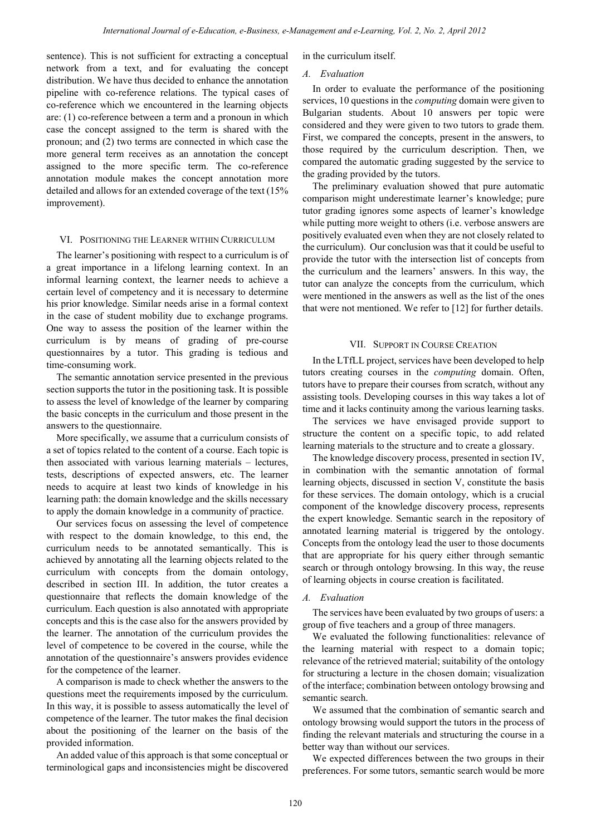sentence). This is not sufficient for extracting a conceptual network from a text, and for evaluating the concept distribution. We have thus decided to enhance the annotation pipeline with co-reference relations. The typical cases of co-reference which we encountered in the learning objects are: (1) co-reference between a term and a pronoun in which case the concept assigned to the term is shared with the pronoun; and (2) two terms are connected in which case the more general term receives as an annotation the concept assigned to the more specific term. The co-reference annotation module makes the concept annotation more detailed and allows for an extended coverage of the text (15% improvement). Herewicked basis is the control of e-Education, e-Business, e-Management and e-Learning, 1912, 2, No. 2, April 2012<br>
2. In the control of extending to concept the memoir theorem here the memoir and the control of extendin

# VI. POSITIONING THE LEARNER WITHIN CURRICULUM

The learner's positioning with respect to a curriculum is of a great importance in a lifelong learning context. In an informal learning context, the learner needs to achieve a certain level of competency and it is necessary to determine his prior knowledge. Similar needs arise in a formal context in the case of student mobility due to exchange programs. One way to assess the position of the learner within the curriculum is by means of grading of pre-course questionnaires by a tutor. This grading is tedious and time-consuming work.

The semantic annotation service presented in the previous section supports the tutor in the positioning task. It is possible to assess the level of knowledge of the learner by comparing the basic concepts in the curriculum and those present in the answers to the questionnaire.

More specifically, we assume that a curriculum consists of a set of topics related to the content of a course. Each topic is then associated with various learning materials – lectures, tests, descriptions of expected answers, etc. The learner needs to acquire at least two kinds of knowledge in his learning path: the domain knowledge and the skills necessary to apply the domain knowledge in a community of practice.

Our services focus on assessing the level of competence with respect to the domain knowledge, to this end, the curriculum needs to be annotated semantically. This is achieved by annotating all the learning objects related to the curriculum with concepts from the domain ontology, described in section III. In addition, the tutor creates a questionnaire that reflects the domain knowledge of the curriculum. Each question is also annotated with appropriate concepts and this is the case also for the answers provided by the learner. The annotation of the curriculum provides the level of competence to be covered in the course, while the annotation of the questionnaire's answers provides evidence for the competence of the learner.

A comparison is made to check whether the answers to the questions meet the requirements imposed by the curriculum. In this way, it is possible to assess automatically the level of competence of the learner. The tutor makes the final decision about the positioning of the learner on the basis of the provided information.

An added value of this approach is that some conceptual or terminological gaps and inconsistencies might be discovered in the curriculum itself.

### *A. Evaluation*

In order to evaluate the performance of the positioning services, 10 questions in the *computing* domain were given to Bulgarian students. About 10 answers per topic were considered and they were given to two tutors to grade them. First, we compared the concepts, present in the answers, to those required by the curriculum description. Then, we compared the automatic grading suggested by the service to the grading provided by the tutors.

The preliminary evaluation showed that pure automatic comparison might underestimate learner's knowledge; pure tutor grading ignores some aspects of learner's knowledge while putting more weight to others (i.e. verbose answers are positively evaluated even when they are not closely related to the curriculum). Our conclusion was that it could be useful to provide the tutor with the intersection list of concepts from the curriculum and the learners' answers. In this way, the tutor can analyze the concepts from the curriculum, which were mentioned in the answers as well as the list of the ones that were not mentioned. We refer to [12] for further details.

#### VII. SUPPORT IN COURSE CREATION

In the LTfLL project, services have been developed to help tutors creating courses in the *computing* domain. Often, tutors have to prepare their courses from scratch, without any assisting tools. Developing courses in this way takes a lot of time and it lacks continuity among the various learning tasks.

The services we have envisaged provide support to structure the content on a specific topic, to add related learning materials to the structure and to create a glossary.

The knowledge discovery process, presented in section IV, in combination with the semantic annotation of formal learning objects, discussed in section V, constitute the basis for these services. The domain ontology, which is a crucial component of the knowledge discovery process, represents the expert knowledge. Semantic search in the repository of annotated learning material is triggered by the ontology. Concepts from the ontology lead the user to those documents that are appropriate for his query either through semantic search or through ontology browsing. In this way, the reuse of learning objects in course creation is facilitated.

#### *A. Evaluation*

The services have been evaluated by two groups of users: a group of five teachers and a group of three managers.

We evaluated the following functionalities: relevance of the learning material with respect to a domain topic; relevance of the retrieved material; suitability of the ontology for structuring a lecture in the chosen domain; visualization of the interface; combination between ontology browsing and semantic search.

We assumed that the combination of semantic search and ontology browsing would support the tutors in the process of finding the relevant materials and structuring the course in a better way than without our services.

We expected differences between the two groups in their preferences. For some tutors, semantic search would be more